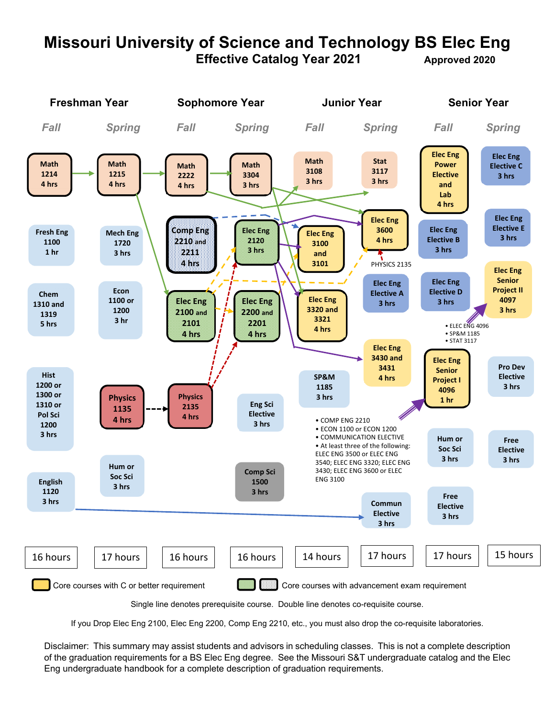# **Missouri University of Science and Technology BS Elec Eng Effective Catalog Year 2021** Approved 2020



Single line denotes prerequisite course. Double line denotes co-requisite course.

If you Drop Elec Eng 2100, Elec Eng 2200, Comp Eng 2210, etc., you must also drop the co-requisite laboratories.

Disclaimer: This summary may assist students and advisors in scheduling classes. This is not a complete description of the graduation requirements for a BS Elec Eng degree. See the Missouri S&T undergraduate catalog and the Elec Eng undergraduate handbook for a complete description of graduation requirements.